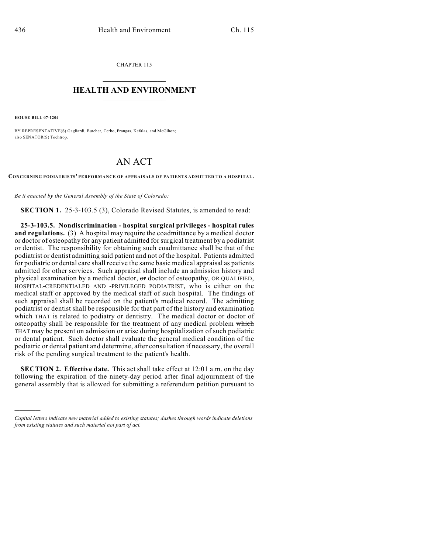CHAPTER 115  $\overline{\phantom{a}}$  . The set of the set of the set of the set of the set of the set of the set of the set of the set of the set of the set of the set of the set of the set of the set of the set of the set of the set of the set o

## **HEALTH AND ENVIRONMENT**  $\_$

**HOUSE BILL 07-1204**

)))))

BY REPRESENTATIVE(S) Gagliardi, Butcher, Cerbo, Frangas, Kefalas, and McGihon; also SENATOR(S) Tochtrop.

## AN ACT

**CONCERNING PODIATRISTS' PERFORMANCE OF APPRAISALS OF PATIENTS ADMITTED TO A HOSPITAL.**

*Be it enacted by the General Assembly of the State of Colorado:*

**SECTION 1.** 25-3-103.5 (3), Colorado Revised Statutes, is amended to read:

**25-3-103.5. Nondiscrimination - hospital surgical privileges - hospital rules and regulations.** (3) A hospital may require the coadmittance by a medical doctor or doctor of osteopathy for any patient admitted for surgical treatment by a podiatrist or dentist. The responsibility for obtaining such coadmittance shall be that of the podiatrist or dentist admitting said patient and not of the hospital. Patients admitted for podiatric or dental care shall receive the same basic medical appraisal as patients admitted for other services. Such appraisal shall include an admission history and physical examination by a medical doctor, or doctor of osteopathy, OR QUALIFIED, HOSPITAL-CREDENTIALED AND -PRIVILEGED PODIATRIST, who is either on the medical staff or approved by the medical staff of such hospital. The findings of such appraisal shall be recorded on the patient's medical record. The admitting podiatrist or dentist shall be responsible for that part of the history and examination which THAT is related to podiatry or dentistry. The medical doctor or doctor of osteopathy shall be responsible for the treatment of any medical problem which THAT may be present on admission or arise during hospitalization of such podiatric or dental patient. Such doctor shall evaluate the general medical condition of the podiatric or dental patient and determine, after consultation if necessary, the overall risk of the pending surgical treatment to the patient's health.

**SECTION 2. Effective date.** This act shall take effect at 12:01 a.m. on the day following the expiration of the ninety-day period after final adjournment of the general assembly that is allowed for submitting a referendum petition pursuant to

*Capital letters indicate new material added to existing statutes; dashes through words indicate deletions from existing statutes and such material not part of act.*